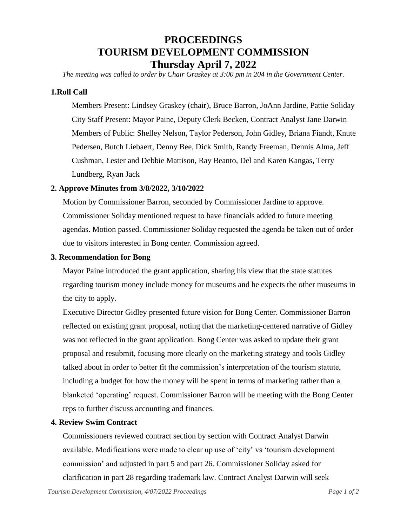# **PROCEEDINGS TOURISM DEVELOPMENT COMMISSION Thursday April 7, 2022**

*The meeting was called to order by Chair Graskey at 3:00 pm in 204 in the Government Center.*

# **1.Roll Call**

Members Present: Lindsey Graskey (chair), Bruce Barron, JoAnn Jardine, Pattie Soliday City Staff Present: Mayor Paine, Deputy Clerk Becken, Contract Analyst Jane Darwin Members of Public: Shelley Nelson, Taylor Pederson, John Gidley, Briana Fiandt, Knute Pedersen, Butch Liebaert, Denny Bee, Dick Smith, Randy Freeman, Dennis Alma, Jeff Cushman, Lester and Debbie Mattison, Ray Beanto, Del and Karen Kangas, Terry Lundberg, Ryan Jack

# **2. Approve Minutes from 3/8/2022, 3/10/2022**

Motion by Commissioner Barron, seconded by Commissioner Jardine to approve. Commissioner Soliday mentioned request to have financials added to future meeting agendas. Motion passed. Commissioner Soliday requested the agenda be taken out of order due to visitors interested in Bong center. Commission agreed.

# **3. Recommendation for Bong**

Mayor Paine introduced the grant application, sharing his view that the state statutes regarding tourism money include money for museums and he expects the other museums in the city to apply.

Executive Director Gidley presented future vision for Bong Center. Commissioner Barron reflected on existing grant proposal, noting that the marketing-centered narrative of Gidley was not reflected in the grant application. Bong Center was asked to update their grant proposal and resubmit, focusing more clearly on the marketing strategy and tools Gidley talked about in order to better fit the commission's interpretation of the tourism statute, including a budget for how the money will be spent in terms of marketing rather than a blanketed 'operating' request. Commissioner Barron will be meeting with the Bong Center reps to further discuss accounting and finances.

# **4. Review Swim Contract**

Commissioners reviewed contract section by section with Contract Analyst Darwin available. Modifications were made to clear up use of 'city' vs 'tourism development commission' and adjusted in part 5 and part 26. Commissioner Soliday asked for clarification in part 28 regarding trademark law. Contract Analyst Darwin will seek